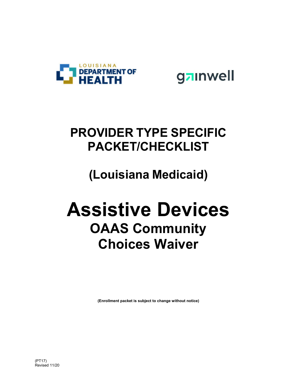



## **PROVIDER TYPE SPECIFIC PACKET/CHECKLIST**

## **(Louisiana Medicaid)**

# **Assistive Devices OAAS Community Choices Waiver**

**(Enrollment packet is subject to change without notice)**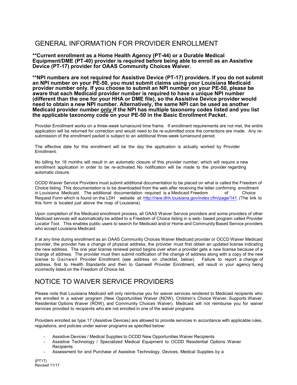#### GENERAL INFORMATION FOR PROVIDER ENROLLMENT

**\*\*Current enrollment as a Home Health Agency (PT-44) or a Durable Medical Equipment/DME (PT-40) provider is required before being able to enroll as an Assistive Device (PT-17) provider for OAAS Community Choices Waiver.** 

**\*\*NPI numbers are not required for Assistive Device (PT-17) providers. If you do not submit an NPI number on your PE-50, you must submit claims using your Louisiana Medicaid provider number only. If you choose to submit an NPI number on your PE-50, please be aware that each Medicaid provider number is required to have a unique NPI number (different than the one for your HHA or DME file), so the Assistive Device provider would need to obtain a new NPI number. Alternatively, the same NPI can be used as another Medicaid provider number only if the NPI has multiple taxonomy codes listed and you list the applicable taxonomy code on your PE-50 in the Basic Enrollment Packet.** 

Provider Enrollment works on a three-week turnaround time frame. If enrollment requirements are not met, the entire application will be returned for correction and would need to be re-submitted once the corrections are made. Any resubmission of the enrollment packet is subject to an additional three-week turnaround period.

The effective date for this enrollment will be the day the application is actually worked by Provider Enrollment.

No billing for 18 months will result in an automatic closure of this provider number, which will require a new enrollment application in order to be re-activated. No notification will be made to the provider regarding automatic closure.

OCDD Waiver Service Providers must submit additional documentation to be placed on what is called the Freedom of Choice listing. This documentation is to be downloaded from the web after receiving the letter confirming enrollment in Louisiana Medicaid. The additional documentation required is a Medicaid Freedom of Choice Request Form which is found on the LDH website at: http://new.dhh.louisiana.gov/index.cfm/page/141. (The link to this form is located just above the map of Louisiana).

Upon completion of the Medicaid enrollment process, all OAAS Waiver Service providers and some providers of other Medicaid services will automatically be added to a Freedom of Choice listing in a web- based program called Provider Locator Tool. This enables public users to search for Medicaid and/or Home and Community Based Service providers who accept Louisiana Medicaid.

If at any time during enrollment as an OAAS Community Choices Waiver Medicaid provider or OCCD Waiver Medicaid provider, the provider has a change of physical address, the provider must first obtain an updated license indicating the new address. The one year license renewal period begins over when a provider gets a new license because of a change of address. The provider must then submit notification of the change of address along with a copy of the new license to Gainwell Provider Enrollment (see address on checklist, below). Failure to report a change of address, first to Health Standards and then to Gainwell Provider Enrollment, will result in your agency being incorrectly listed on the Freedom of Choice list.

#### NOTICE TO WAIVER SERVICE PROVIDERS

Please note that Louisiana Medicaid will only reimburse you for waiver services rendered to Medicaid recipients who are enrolled in a waiver program (New Opportunities Waiver (NOW), Children's Choice Waiver, Supports Waiver, Residential Options Waiver (ROW), and Community Choices Waiver). Medicaid will not reimburse you for waiver services provided to recipients who are not enrolled in one of the waiver programs.

Providers enrolled as type 17 (Assistive Devices) are allowed to provide services in accordance with applicable rules, regulations, and policies under waiver programs as specified below:

- Assistive Devices / Medical Supplies to OCDD New Opportunities Waiver Recipients
- Assistive Technology / Specialized Medical Equipment to OCDD Residential Options Waiver **Recipients**
- Assessment for and Purchase of Assistive Technology, Devices, Medical Supplies by a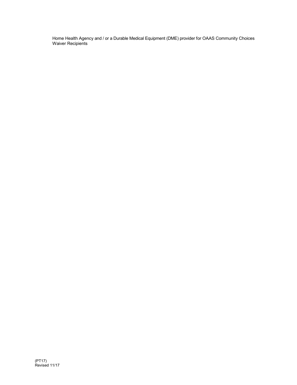Home Health Agency and / or a Durable Medical Equipment (DME) provider for OAAS Community Choices Waiver Recipients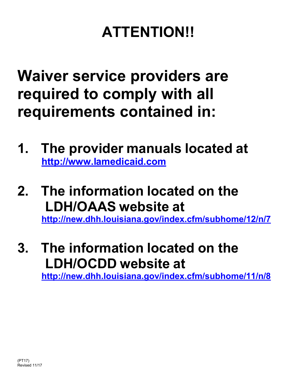# **ATTENTION!!**

**Waiver service providers are required to comply with all requirements contained in:**

- **1. The provider manuals located at http://www.lamedicaid.com**
- **2. The information located on the LDH/OAAS website at**

**http://new.dhh.louisiana.gov/index.cfm/subhome/12/n/7**

### **3. The information located on the LDH/OCDD website at http://new.dhh.louisiana.gov/index.cfm/subhome/11/n/8**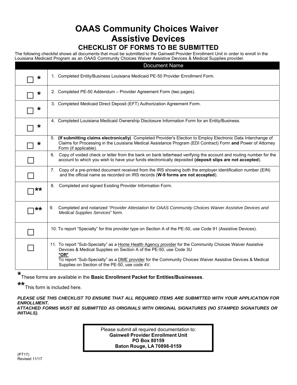### **OAAS Community Choices Waiver Assistive Devices**

#### **CHECKLIST OF FORMS TO BE SUBMITTED**

The following checklist shows all documents that must be submitted to the Gainwell Provider Enrollment Unit in order to enroll in the Louisiana Medicaid Program as an OAAS Community Choices Waiver Assistive Devices & Medical Supplies provider.

|         | <b>Document Name</b>                                                                                                                                                                                                                                                                                                                                 |  |  |  |  |  |  |
|---------|------------------------------------------------------------------------------------------------------------------------------------------------------------------------------------------------------------------------------------------------------------------------------------------------------------------------------------------------------|--|--|--|--|--|--|
| $\star$ | 1. Completed Entity/Business Louisiana Medicaid PE-50 Provider Enrollment Form.                                                                                                                                                                                                                                                                      |  |  |  |  |  |  |
| $\star$ | 2. Completed PE-50 Addendum - Provider Agreement Form (two pages).                                                                                                                                                                                                                                                                                   |  |  |  |  |  |  |
| $\ast$  | 3. Completed Medicaid Direct Deposit (EFT) Authorization Agreement Form.                                                                                                                                                                                                                                                                             |  |  |  |  |  |  |
| $\star$ | 4. Completed Louisiana Medicaid Ownership Disclosure Information Form for an Entity/Business.                                                                                                                                                                                                                                                        |  |  |  |  |  |  |
| *       | (If submitting claims electronically) Completed Provider's Election to Employ Electronic Data Interchange of<br>5.<br>Claims for Processing in the Louisiana Medical Assistance Program (EDI Contract) Form and Power of Attorney<br>Form (if applicable).                                                                                           |  |  |  |  |  |  |
|         | Copy of voided check or letter from the bank on bank letterhead verifying the account and routing number for the<br>6.<br>account to which you wish to have your funds electronically deposited (deposit slips are not accepted).                                                                                                                    |  |  |  |  |  |  |
|         | 7. Copy of a pre-printed document received from the IRS showing both the employer identification number (EIN)<br>and the official name as recorded on IRS records (W-9 forms are not accepted).                                                                                                                                                      |  |  |  |  |  |  |
| **      | Completed and signed Existing Provider Information Form.<br>8.                                                                                                                                                                                                                                                                                       |  |  |  |  |  |  |
| **      | Completed and notarized "Provider Attestation for OAAS Community Choices Waiver Assistive Devices and<br>9.<br>Medical Supplies Services" form.                                                                                                                                                                                                      |  |  |  |  |  |  |
|         | 10. To report "Specialty" for this provider type on Section A of the PE-50, use Code 91 (Assistive Devices).                                                                                                                                                                                                                                         |  |  |  |  |  |  |
|         | 11. To report "Sub-Specialty" as a Home Health Agency provider for the Community Choices Waiver Assistive<br>Devices & Medical Supplies on Section A of the PE-50, use Code 3U<br>*OR*<br>To report "Sub-Specialty" as a DME provider for the Community Choices Waiver Assistive Devices & Medical<br>Supplies on Section of the PE-50, use code 4V. |  |  |  |  |  |  |

**\*** These forms are available in the **Basic Enrollment Packet for Entities/Businesses**.

**\*\*** This form is included here.

*PLEASE USE THIS CHECKLIST TO ENSURE THAT ALL REQUIRED ITEMS ARE SUBMITTED WITH YOUR APPLICATION FOR ENROLLMENT. ATTACHED FORMS MUST BE SUBMITTED AS ORIGINALS WITH ORIGINAL SIGNATURES (NO STAMPED SIGNATURES OR INITIALS).* 

> Please submit all required documentation to: **Gainwell Provider Enrollment Unit PO Box 80159 Baton Rouge, LA 70898-0159**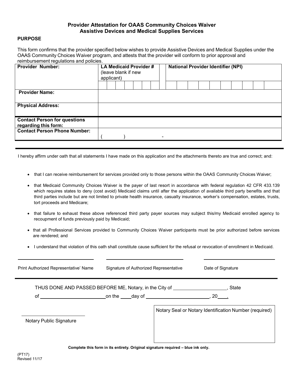#### **Provider Attestation for OAAS Community Choices Waiver Assistive Devices and Medical Supplies Services**

#### **PURPOSE**

This form confirms that the provider specified below wishes to provide Assistive Devices and Medical Supplies under the OAAS Community Choices Waiver program, and attests that the provider will conform to prior approval and reimbursement regulations and policies.

| <b>Provider Number:</b>                                     | . Simple School is a gladelle and policies.<br>LA Medicaid Provider#<br>(leave blank if new<br>applicant) |  |  | <b>National Provider Identifier (NPI)</b> |  |  |  |  |  |  |  |  |  |  |
|-------------------------------------------------------------|-----------------------------------------------------------------------------------------------------------|--|--|-------------------------------------------|--|--|--|--|--|--|--|--|--|--|
|                                                             |                                                                                                           |  |  |                                           |  |  |  |  |  |  |  |  |  |  |
| <b>Provider Name:</b>                                       |                                                                                                           |  |  |                                           |  |  |  |  |  |  |  |  |  |  |
| <b>Physical Address:</b>                                    |                                                                                                           |  |  |                                           |  |  |  |  |  |  |  |  |  |  |
| <b>Contact Person for questions</b><br>regarding this form: |                                                                                                           |  |  |                                           |  |  |  |  |  |  |  |  |  |  |
| <b>Contact Person Phone Number:</b>                         |                                                                                                           |  |  |                                           |  |  |  |  |  |  |  |  |  |  |

I hereby affirm under oath that all statements I have made on this application and the attachments thereto are true and correct; and:

- that I can receive reimbursement for services provided only to those persons within the OAAS Community Choices Waiver;
- that Medicaid Community Choices Waiver is the payer of last resort in accordance with federal regulation 42 CFR 433.139 which requires states to deny (cost avoid) Medicaid claims until after the application of available third party benefits and that third parties include but are not limited to private health insurance, casualty insurance, worker's compensation, estates, trusts, tort proceeds and Medicare;
- that failure to exhaust these above referenced third party payer sources may subject this/my Medicaid enrolled agency to recoupment of funds previously paid by Medicaid;
- that all Professional Services provided to Community Choices Waiver participants must be prior authorized before services are rendered; and
- I understand that violation of this oath shall constitute cause sufficient for the refusal or revocation of enrollment in Medicaid.

| Print Authorized Representative' Name                                            | Signature of Authorized Representative                 | Date of Signature                                      |  |  |  |  |  |  |  |
|----------------------------------------------------------------------------------|--------------------------------------------------------|--------------------------------------------------------|--|--|--|--|--|--|--|
|                                                                                  | THUS DONE AND PASSED BEFORE ME, Notary, in the City of | State                                                  |  |  |  |  |  |  |  |
|                                                                                  |                                                        |                                                        |  |  |  |  |  |  |  |
| Notary Public Signature                                                          |                                                        | Notary Seal or Notary Identification Number (required) |  |  |  |  |  |  |  |
| Complete this form in its entirety. Original signature required - blue ink only. |                                                        |                                                        |  |  |  |  |  |  |  |